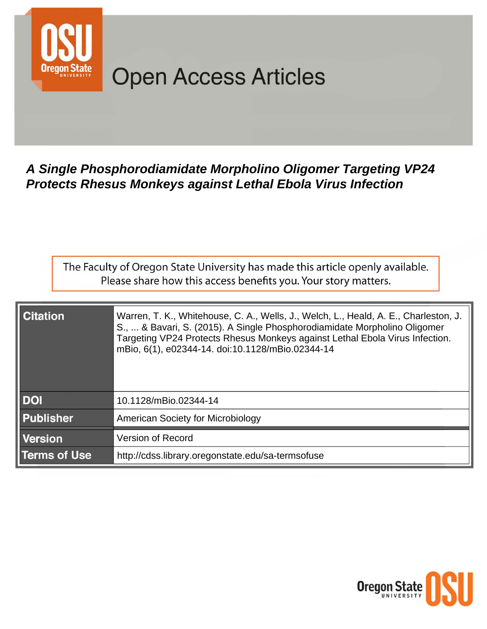

# **Open Access Articles**

## A Single Phosphorodiamidate Morpholino Oligomer Targeting VP24 **Protects Rhesus Monkeys against Lethal Ebola Virus Infection**

The Faculty of Oregon State University has made this article openly available. Please share how this access benefits you. Your story matters.

| <b>Citation</b>     | Warren, T. K., Whitehouse, C. A., Wells, J., Welch, L., Heald, A. E., Charleston, J.<br>S.,  & Bavari, S. (2015). A Single Phosphorodiamidate Morpholino Oligomer<br>Targeting VP24 Protects Rhesus Monkeys against Lethal Ebola Virus Infection.<br>mBio, 6(1), e02344-14. doi:10.1128/mBio.02344-14 |  |  |  |
|---------------------|-------------------------------------------------------------------------------------------------------------------------------------------------------------------------------------------------------------------------------------------------------------------------------------------------------|--|--|--|
| <b>DOI</b>          | 10.1128/mBio.02344-14                                                                                                                                                                                                                                                                                 |  |  |  |
| <b>Publisher</b>    | <b>American Society for Microbiology</b>                                                                                                                                                                                                                                                              |  |  |  |
| <b>Version</b>      | <b>Version of Record</b>                                                                                                                                                                                                                                                                              |  |  |  |
| <b>Terms of Use</b> | http://cdss.library.oregonstate.edu/sa-termsofuse                                                                                                                                                                                                                                                     |  |  |  |

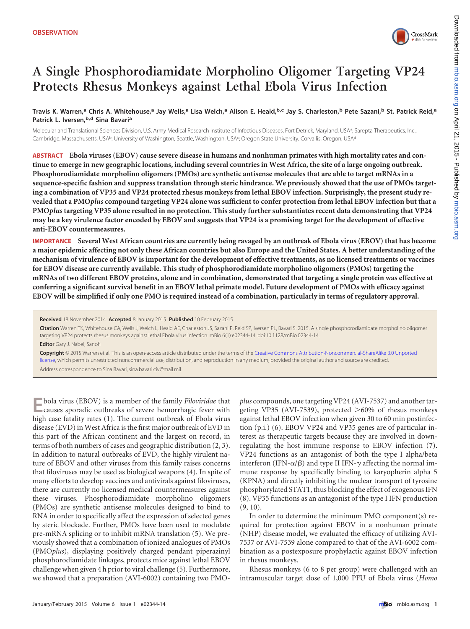

### **A Single Phosphorodiamidate Morpholino Oligomer Targeting VP24 Protects Rhesus Monkeys against Lethal Ebola Virus Infection**

Travis K. Warren,<sup>a</sup> Chris A. Whitehouse,<sup>a</sup> Jay Wells,<sup>a</sup> Lisa Welch,<sup>a</sup> Alison E. Heald,b,c Jay S. Charleston,b Pete Sazani,b St. Patrick Reid,a **Patrick L. Iversen,b,d Sina Bavari<sup>a</sup>**

Molecular and Translational Sciences Division, U.S. Army Medical Research Institute of Infectious Diseases, Fort Detrick, Maryland, USAa ; Sarepta Therapeutics, Inc., Cambridge, Massachusetts, USA<sup>b</sup>; University of Washington, Seattle, Washington, USA<sup>c</sup>; Oregon State University, Corvallis, Oregon, USA<sup>d</sup>

**ABSTRACT Ebola viruses (EBOV) cause severe disease in humans and nonhuman primates with high mortality rates and continue to emerge in new geographic locations, including several countries in West Africa, the site of a large ongoing outbreak. Phosphorodiamidate morpholino oligomers (PMOs) are synthetic antisense molecules that are able to target mRNAs in a sequence-specific fashion and suppress translation through steric hindrance. We previously showed that the use of PMOs targeting a combination of VP35 and VP24 protected rhesus monkeys from lethal EBOV infection. Surprisingly, the present study revealed that a PMO***plus* **compound targeting VP24 alone was sufficient to confer protection from lethal EBOV infection but that a PMO***plus* **targeting VP35 alone resulted in no protection. This study further substantiates recent data demonstrating that VP24 may be a key virulence factor encoded by EBOV and suggests that VP24 is a promising target for the development of effective anti-EBOV countermeasures.**

**IMPORTANCE Several West African countries are currently being ravaged by an outbreak of Ebola virus (EBOV) that has become a major epidemic affecting not only these African countries but also Europe and the United States. A better understanding of the mechanism of virulence of EBOV is important for the development of effective treatments, as no licensed treatments or vaccines for EBOV disease are currently available. This study of phosphorodiamidate morpholino oligomers (PMOs) targeting the mRNAs of two different EBOV proteins, alone and in combination, demonstrated that targeting a single protein was effective at conferring a significant survival benefit in an EBOV lethal primate model. Future development of PMOs with efficacy against EBOV will be simplified if only one PMO is required instead of a combination, particularly in terms of regulatory approval.**

**Received** 18 November 2014 **Accepted** 8 January 2015 **Published** 10 February 2015

**Citation** Warren TK, Whitehouse CA, Wells J, Welch L, Heald AE, Charleston JS, Sazani P, Reid SP, Iversen PL, Bavari S. 2015. A single phosphorodiamidate morpholino oligomer targeting VP24 protects rhesus monkeys against lethal Ebola virus infection. mBio 6(1):e02344-14. doi:10.1128/mBio.02344-14.

**Editor** Gary J. Nabel, Sanofi

**Copyright** © 2015 Warren et al. This is an open-access article distributed under the terms of the [Creative Commons Attribution-Noncommercial-ShareAlike 3.0 Unported](http://creativecommons.org/licenses/by-nc-sa/3.0/) [license,](http://creativecommons.org/licenses/by-nc-sa/3.0/) which permits unrestricted noncommercial use, distribution, and reproduction in any medium, provided the original author and source are credited. Address correspondence to Sina Bavari, sina.bavari.civ@mail.mil.

**E**bola virus (EBOV) is a member of the family *Filoviridae* that causes sporadic outbreaks of severe hemorrhagic fever with high case fatality rates [\(1\)](#page-3-0). The current outbreak of Ebola virus disease (EVD) in West Africa is the first major outbreak of EVD in this part of the African continent and the largest on record, in terms of both numbers of cases and geographic distribution [\(2,](#page-3-1) [3\)](#page-3-2). In addition to natural outbreaks of EVD, the highly virulent nature of EBOV and other viruses from this family raises concerns that filoviruses may be used as biological weapons [\(4\)](#page-3-3). In spite of many efforts to develop vaccines and antivirals against filoviruses, there are currently no licensed medical countermeasures against these viruses. Phosphorodiamidate morpholino oligomers (PMOs) are synthetic antisense molecules designed to bind to RNA in order to specifically affect the expression of selected genes by steric blockade. Further, PMOs have been used to modulate pre-mRNA splicing or to inhibit mRNA translation [\(5\)](#page-3-4). We previously showed that a combination of ionized analogues of PMOs (PMO*plus*), displaying positively charged pendant piperazinyl phosphorodiamidate linkages, protects mice against lethal EBOV challenge when given 4 h prior to viral challenge [\(5\)](#page-3-4). Furthermore, we showed that a preparation (AVI-6002) containing two PMO-

*plus* compounds, one targeting VP24 (AVI-7537) and another targeting VP35 (AVI-7539), protected >60% of rhesus monkeys against lethal EBOV infection when given 30 to 60 min postinfection (p.i.) [\(6\)](#page-4-0). EBOV VP24 and VP35 genes are of particular interest as therapeutic targets because they are involved in downregulating the host immune response to EBOV infection [\(7\)](#page-4-1). VP24 functions as an antagonist of both the type I alpha/beta interferon (IFN- $\alpha/\beta$ ) and type II IFN- $\gamma$  affecting the normal immune response by specifically binding to karyopherin alpha 5 (KPNA) and directly inhibiting the nuclear transport of tyrosine phosphorylated STAT1, thus blocking the effect of exogenous IFN [\(8\)](#page-4-2). VP35 functions as an antagonist of the type I IFN production [\(9,](#page-4-3) [10\)](#page-4-4).

In order to determine the minimum PMO component(s) required for protection against EBOV in a nonhuman primate (NHP) disease model, we evaluated the efficacy of utilizing AVI-7537 or AVI-7539 alone compared to that of the AVI-6002 combination as a postexposure prophylactic against EBOV infection in rhesus monkeys.

Rhesus monkeys (6 to 8 per group) were challenged with an intramuscular target dose of 1,000 PFU of Ebola virus (*Homo*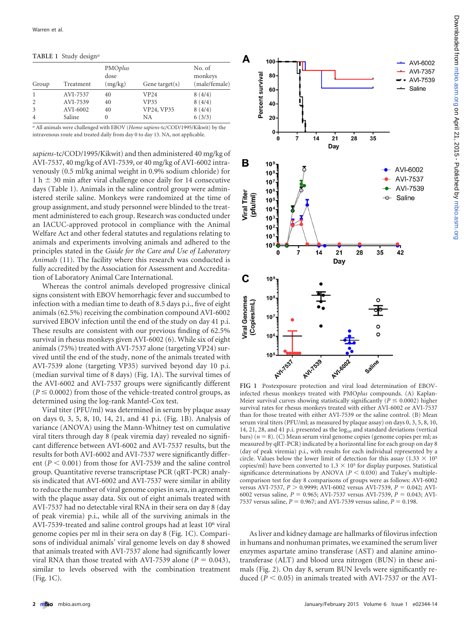<span id="page-2-0"></span>**TABLE 1** Study design*<sup>a</sup>*

| Group | Treatment | PMOplus<br>dose<br>(mg/kg) | Gene target $(s)$ | No. of<br>monkeys<br>(male/female) |
|-------|-----------|----------------------------|-------------------|------------------------------------|
|       | AVI-7537  | 40                         | VP24              | 8(4/4)                             |
|       | AVI-7539  | 40                         | <b>VP35</b>       | 8(4/4)                             |
| 3     | AVI-6002  | 40                         | VP24, VP35        | 8(4/4)                             |
| 4     | Saline    | 0                          | NA                | 6(3/3)                             |

*a* All animals were challenged with EBOV (*Homo sapiens*-tc/COD/1995/Kikwit) by the intravenous route and treated daily from day 0 to day 13. NA, not applicable.

*sapiens*-tc/COD/1995/Kikwit) and then administered 40 mg/kg of AVI-7537, 40 mg/kg of AVI-7539, or 40 mg/kg of AVI-6002 intravenously (0.5 ml/kg animal weight in 0.9% sodium chloride) for 1 h  $\pm$  30 min after viral challenge once daily for 14 consecutive days [\(Table 1\)](#page-2-0). Animals in the saline control group were administered sterile saline. Monkeys were randomized at the time of group assignment, and study personnel were blinded to the treatment administered to each group. Research was conducted under an IACUC-approved protocol in compliance with the Animal Welfare Act and other federal statutes and regulations relating to animals and experiments involving animals and adhered to the principles stated in the *Guide for the Care and Use of Laboratory Animals* [\(11\)](#page-4-5). The facility where this research was conducted is fully accredited by the Association for Assessment and Accreditation of Laboratory Animal Care International.

Whereas the control animals developed progressive clinical signs consistent with EBOV hemorrhagic fever and succumbed to infection with a median time to death of 8.5 days p.i., five of eight animals (62.5%) receiving the combination compound AVI-6002 survived EBOV infection until the end of the study on day 41 p.i. These results are consistent with our previous finding of 62.5% survival in rhesus monkeys given AVI-6002 [\(6\)](#page-4-0). While six of eight animals (75%) treated with AVI-7537 alone (targeting VP24) survived until the end of the study, none of the animals treated with AVI-7539 alone (targeting VP35) survived beyond day 10 p.i. (median survival time of 8 days) [\(Fig. 1A\)](#page-2-1). The survival times of the AVI-6002 and AVI-7537 groups were significantly different  $(P \le 0.0002)$  from those of the vehicle-treated control groups, as determined using the log-rank Mantel-Cox test.

Viral titer (PFU/ml) was determined in serum by plaque assay on days 0, 3, 5, 8, 10, 14, 21, and 41 p.i. [\(Fig. 1B\)](#page-2-1). Analysis of variance (ANOVA) using the Mann-Whitney test on cumulative viral titers through day 8 (peak viremia day) revealed no significant difference between AVI-6002 and AVI-7537 results, but the results for both AVI-6002 and AVI-7537 were significantly different ( $P \le 0.001$ ) from those for AVI-7539 and the saline control group. Quantitative reverse transcriptase PCR (qRT-PCR) analysis indicated that AVI-6002 and AVI-7537 were similar in ability to reduce the number of viral genome copies in sera, in agreement with the plaque assay data. Six out of eight animals treated with AVI-7537 had no detectable viral RNA in their sera on day 8 (day of peak viremia) p.i., while all of the surviving animals in the AVI-7539-treated and saline control groups had at least 10<sup>6</sup> viral genome copies per ml in their sera on day 8 [\(Fig. 1C\)](#page-2-1). Comparisons of individual animals' viral genome levels on day 8 showed that animals treated with AVI-7537 alone had significantly lower viral RNA than those treated with AVI-7539 alone ( $P = 0.043$ ), similar to levels observed with the combination treatment [\(Fig. 1C\)](#page-2-1).



<span id="page-2-1"></span>**FIG 1** Postexposure protection and viral load determination of EBOVinfected rhesus monkeys treated with PMO*plus* compounds. (A) Kaplan-Meier survival curves showing statistically significantly ( $P \le 0.0002$ ) higher survival rates for rhesus monkeys treated with either AVI-6002 or AVI-7537 than for those treated with either AVI-7539 or the saline control. (B) Mean serum viral titers (PFU/ml; as measured by plaque assay) on days 0, 3, 5, 8, 10, 14, 21, 28, and 41 p.i. presented as the  $log_{10}$  and standard deviations (vertical bars)  $(n = 8)$ . (C) Mean serum viral genome copies (genome copies per ml; as measured by qRT-PCR) indicated by a horizontal line for each group on day 8 (day of peak viremia) p.i., with results for each individual represented by a circle. Values below the lower limit of detection for this assay (1.33  $\times$  10<sup>5</sup> copies/ml) have been converted to  $1.3 \times 10^5$  for display purposes. Statistical significance determinations by ANOVA ( $P < 0.030$ ) and Tukey's multiplecomparison test for day 8 comparisons of groups were as follows: AVI-6002 versus AVI-7537,  $P > 0.9999$ ; AVI-6002 versus AVI-7539,  $P = 0.042$ ; AVI-6002 versus saline,  $P = 0.965$ ; AVI-7537 versus AVI-7539,  $P = 0.043$ ; AVI-7537 versus saline,  $P = 0.967$ ; and AVI-7539 versus saline,  $P = 0.198$ .

As liver and kidney damage are hallmarks of filovirus infection in humans and nonhuman primates, we examined the serum liver enzymes aspartate amino transferase (AST) and alanine aminotransferase (ALT) and blood urea nitrogen (BUN) in these animals [\(Fig. 2\)](#page-3-5). On day 8, serum BUN levels were significantly reduced ( $P \le 0.05$ ) in animals treated with AVI-7537 or the AVI-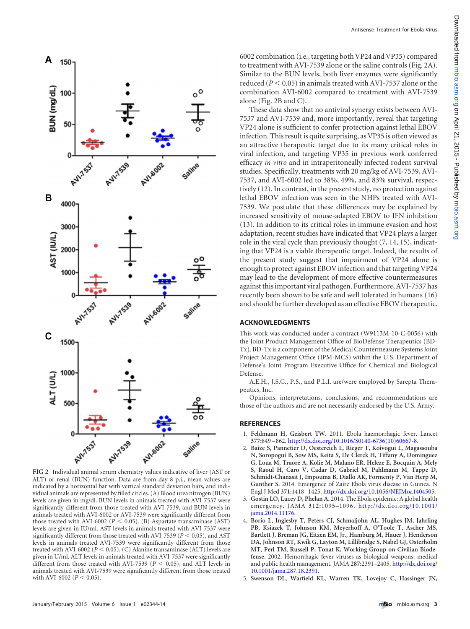

<span id="page-3-5"></span>**FIG 2** Individual animal serum chemistry values indicative of liver (AST or ALT) or renal (BUN) function. Data are from day 8 p.i., mean values are indicated by a horizontal bar with vertical standard deviation bars, and individual animals are represented by filled circles. (A) Blood urea nitrogen (BUN) levels are given in mg/dl. BUN levels in animals treated with AVI-7537 were significantly different from those treated with AVI-7539, and BUN levels in animals treated with AVI-6002 or AVI-7539 were significantly different from those treated with AVI-6002 ( $P < 0.05$ ). (B) Aspartate transaminase (AST) levels are given in IU/ml. AST levels in animals treated with AVI-7537 were significantly different from those treated with AVI-7539 ( $P < 0.05$ ), and AST levels in animals treated AVI-7539 were significantly different from those treated with AVI-6002 ( $P < 0.05$ ). (C) Alanine transaminase (ALT) levels are given in U/ml. ALT levels in animals treated with AVI-7537 were significantly different from those treated with AVI-7539 ( $P < 0.05$ ), and ALT levels in animals treated with AVI-7539 were significantly different from those treated with AVI-6002 ( $P < 0.05$ ).

6002 combination (i.e., targeting both VP24 and VP35) compared to treatment with AVI-7539 alone or the saline controls [\(Fig. 2A\)](#page-3-5). Similar to the BUN levels, both liver enzymes were significantly reduced ( $P < 0.05$ ) in animals treated with AVI-7537 alone or the combination AVI-6002 compared to treatment with AVI-7539 alone [\(Fig. 2B](#page-3-5) and [C\)](#page-3-5).

These data show that no antiviral synergy exists between AVI-7537 and AVI-7539 and, more importantly, reveal that targeting VP24 alone is sufficient to confer protection against lethal EBOV infection. This result is quite surprising, as VP35 is often viewed as an attractive therapeutic target due to its many critical roles in viral infection, and targeting VP35 in previous work conferred efficacy *in vitro* and in intraperitoneally infected rodent survival studies. Specifically, treatments with 20 mg/kg of AVI-7539, AVI-7537, and AVI-6002 led to 38%, 49%, and 83% survival, respectively [\(12\)](#page-4-6). In contrast, in the present study, no protection against lethal EBOV infection was seen in the NHPs treated with AVI-7539. We postulate that these differences may be explained by increased sensitivity of mouse-adapted EBOV to IFN inhibition [\(13\)](#page-4-7). In addition to its critical roles in immune evasion and host adaptation, recent studies have indicated that VP24 plays a larger role in the viral cycle than previously thought [\(7,](#page-4-1) [14,](#page-4-8) [15\)](#page-4-9), indicating that VP24 is a viable therapeutic target. Indeed, the results of the present study suggest that impairment of VP24 alone is enough to protect against EBOV infection and that targeting VP24 may lead to the development of more effective countermeasures against this important viral pathogen. Furthermore, AVI-7537 has recently been shown to be safe and well tolerated in humans [\(16\)](#page-4-10) and should be further developed as an effective EBOV therapeutic.

#### **ACKNOWLEDGMENTS**

This work was conducted under a contract (W9113M-10-C-0056) with the Joint Product Management Office of BioDefense Therapeutics (BD-Tx). BD-Tx is a component of the Medical Countermeasure Systems Joint Project Management Office (JPM-MCS) within the U.S. Department of Defense's Joint Program Executive Office for Chemical and Biological Defense.

A.E.H., J.S.C., P.S., and P.L.I. are/were employed by Sarepta Therapeutics, Inc.

Opinions, interpretations, conclusions, and recommendations are those of the authors and are not necessarily endorsed by the U.S. Army.

#### <span id="page-3-0"></span>**REFERENCES**

- <span id="page-3-1"></span>1. **Feldmann H, Geisbert TW.** 2011. Ebola haemorrhagic fever. Lancet **377:**849 –862. [http://dx.doi.org/10.1016/S0140-6736\(10\)60667-8.](http://dx.doi.org/10.1016/S0140-6736(10)60667-8)
- 2. **Baize S, Pannetier D, Oestereich L, Rieger T, Koivogui L, Magassouba N, Soropogui B, Sow MS, Keita S, De Clerck H, Tiffany A, Dominguez G, Loua M, Traore A, Kolie M, Malano ER, Heleze E, Bocquin A, Mely S, Raoul H, Caro V, Cadar D, Gabriel M, Pahlmann M, Tappe D, Schmidt-Chanasit J, Impouma B, Diallo AK, Formenty P, Van Herp M, Gunther S.** 2014. Emergence of Zaire Ebola virus disease in Guinea. N Engl J Med **371:**1418 –1425. [http://dx.doi.org/10.1056/NEJMoa1404505.](http://dx.doi.org/10.1056/NEJMoa1404505)
- <span id="page-3-3"></span><span id="page-3-2"></span>3. **Gostin LO, Lucey D, Phelan A.** 2014. The Ebola epidemic: A global health emergency. JAMA **312:**1095–1096. [http://dx.doi.org/10.1001/](http://dx.doi.org/10.1001/jama.2014.11176) [jama.2014.11176.](http://dx.doi.org/10.1001/jama.2014.11176)
- 4. **Borio L, Inglesby T, Peters CJ, Schmaljohn AL, Hughes JM, Jahrling PB, Ksiazek T, Johnson KM, Meyerhoff A, O'Toole T, Ascher MS, Bartlett J, Breman JG, Eitzen EM, Jr., Hamburg M, Hauer J, Henderson DA, Johnson RT, Kwik G, Layton M, Lillibridge S, Nabel GJ, Osterholm MT, Perl TM, Russell P, Tonat K, Working Group on Civilian Biodefense.** 2002. Hemorrhagic fever viruses as biological weapons: medical and public health management. JAMA **287:**2391–2405. [http://dx.doi.org/](http://dx.doi.org/10.1001/jama.287.18.2391) [10.1001/jama.287.18.2391.](http://dx.doi.org/10.1001/jama.287.18.2391)
- <span id="page-3-4"></span>5. **Swenson DL, Warfield KL, Warren TK, Lovejoy C, Hassinger JN,**